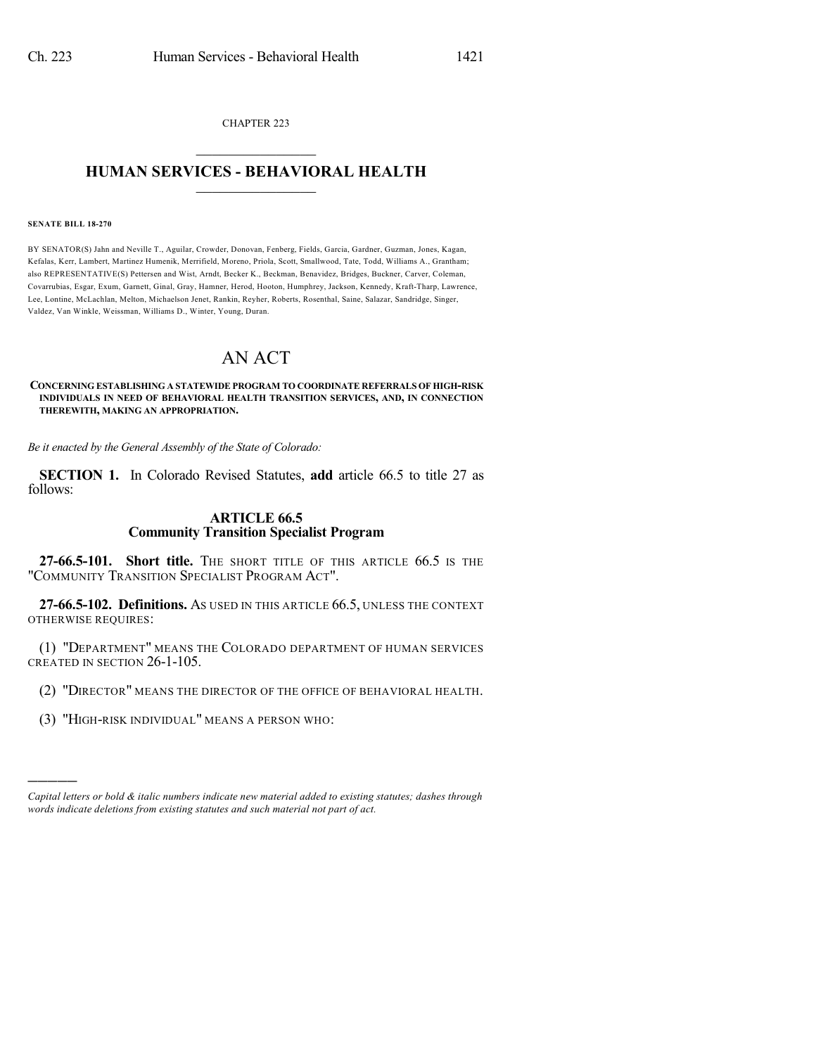CHAPTER 223  $\overline{\phantom{a}}$  . The set of the set of the set of the set of the set of the set of the set of the set of the set of the set of the set of the set of the set of the set of the set of the set of the set of the set of the set o

## **HUMAN SERVICES - BEHAVIORAL HEALTH**  $\frac{1}{2}$  ,  $\frac{1}{2}$  ,  $\frac{1}{2}$  ,  $\frac{1}{2}$  ,  $\frac{1}{2}$  ,  $\frac{1}{2}$  ,  $\frac{1}{2}$

#### **SENATE BILL 18-270**

)))))

BY SENATOR(S) Jahn and Neville T., Aguilar, Crowder, Donovan, Fenberg, Fields, Garcia, Gardner, Guzman, Jones, Kagan, Kefalas, Kerr, Lambert, Martinez Humenik, Merrifield, Moreno, Priola, Scott, Smallwood, Tate, Todd, Williams A., Grantham; also REPRESENTATIVE(S) Pettersen and Wist, Arndt, Becker K., Beckman, Benavidez, Bridges, Buckner, Carver, Coleman, Covarrubias, Esgar, Exum, Garnett, Ginal, Gray, Hamner, Herod, Hooton, Humphrey, Jackson, Kennedy, Kraft-Tharp, Lawrence, Lee, Lontine, McLachlan, Melton, Michaelson Jenet, Rankin, Reyher, Roberts, Rosenthal, Saine, Salazar, Sandridge, Singer, Valdez, Van Winkle, Weissman, Williams D., Winter, Young, Duran.

# AN ACT

### **CONCERNING ESTABLISHING A STATEWIDE PROGRAM TO COORDINATE REFERRALS OF HIGH-RISK INDIVIDUALS IN NEED OF BEHAVIORAL HEALTH TRANSITION SERVICES, AND, IN CONNECTION THEREWITH, MAKING AN APPROPRIATION.**

*Be it enacted by the General Assembly of the State of Colorado:*

**SECTION 1.** In Colorado Revised Statutes, **add** article 66.5 to title 27 as follows:

## **ARTICLE 66.5 Community Transition Specialist Program**

**27-66.5-101. Short title.** THE SHORT TITLE OF THIS ARTICLE 66.5 IS THE "COMMUNITY TRANSITION SPECIALIST PROGRAM ACT".

**27-66.5-102. Definitions.** AS USED IN THIS ARTICLE 66.5, UNLESS THE CONTEXT OTHERWISE REQUIRES:

(1) "DEPARTMENT" MEANS THE COLORADO DEPARTMENT OF HUMAN SERVICES CREATED IN SECTION 26-1-105.

(2) "DIRECTOR" MEANS THE DIRECTOR OF THE OFFICE OF BEHAVIORAL HEALTH.

(3) "HIGH-RISK INDIVIDUAL" MEANS A PERSON WHO:

*Capital letters or bold & italic numbers indicate new material added to existing statutes; dashes through words indicate deletions from existing statutes and such material not part of act.*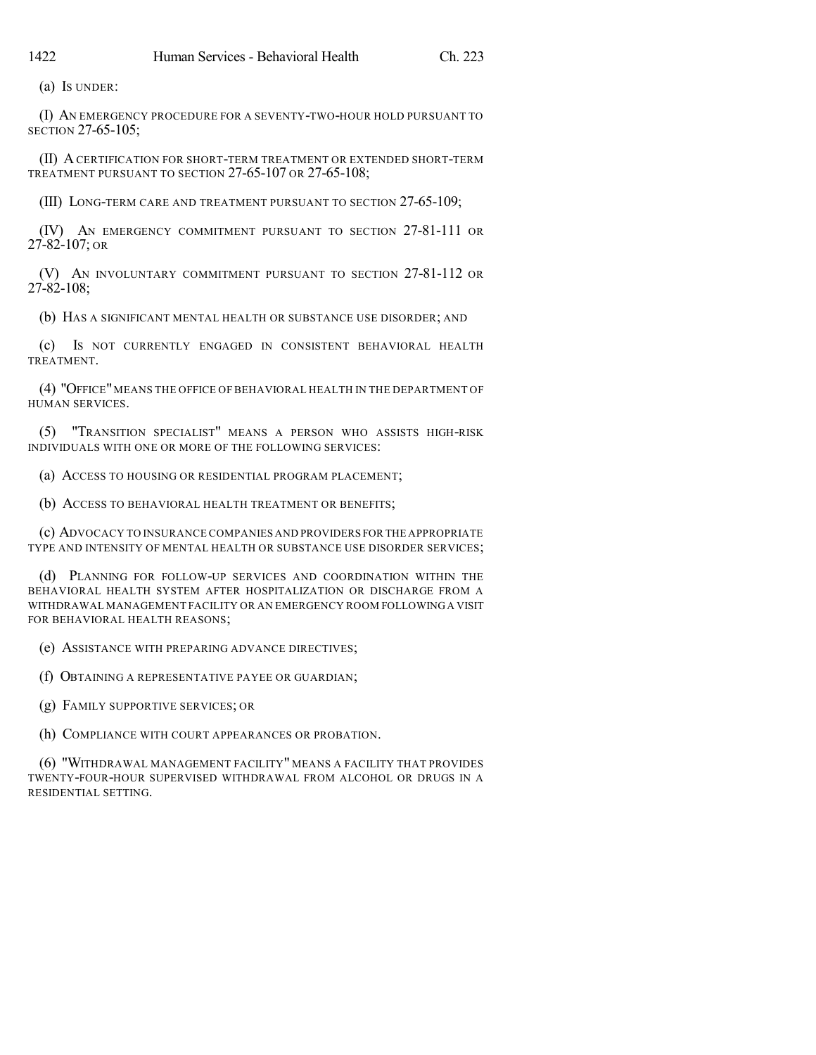(a) IS UNDER:

(I) AN EMERGENCY PROCEDURE FOR A SEVENTY-TWO-HOUR HOLD PURSUANT TO SECTION 27-65-105;

(II) ACERTIFICATION FOR SHORT-TERM TREATMENT OR EXTENDED SHORT-TERM TREATMENT PURSUANT TO SECTION 27-65-107 OR 27-65-108;

(III) LONG-TERM CARE AND TREATMENT PURSUANT TO SECTION 27-65-109;

(IV) AN EMERGENCY COMMITMENT PURSUANT TO SECTION 27-81-111 OR 27-82-107; OR

(V) AN INVOLUNTARY COMMITMENT PURSUANT TO SECTION 27-81-112 OR 27-82-108;

(b) HAS A SIGNIFICANT MENTAL HEALTH OR SUBSTANCE USE DISORDER; AND

(c) IS NOT CURRENTLY ENGAGED IN CONSISTENT BEHAVIORAL HEALTH TREATMENT.

(4) "OFFICE"MEANS THE OFFICE OF BEHAVIORAL HEALTH IN THE DEPARTMENT OF HUMAN SERVICES.

(5) "TRANSITION SPECIALIST" MEANS A PERSON WHO ASSISTS HIGH-RISK INDIVIDUALS WITH ONE OR MORE OF THE FOLLOWING SERVICES:

(a) ACCESS TO HOUSING OR RESIDENTIAL PROGRAM PLACEMENT;

(b) ACCESS TO BEHAVIORAL HEALTH TREATMENT OR BENEFITS;

(c) ADVOCACY TO INSURANCE COMPANIES AND PROVIDERS FOR THE APPROPRIATE TYPE AND INTENSITY OF MENTAL HEALTH OR SUBSTANCE USE DISORDER SERVICES;

(d) PLANNING FOR FOLLOW-UP SERVICES AND COORDINATION WITHIN THE BEHAVIORAL HEALTH SYSTEM AFTER HOSPITALIZATION OR DISCHARGE FROM A WITHDRAWAL MANAGEMENT FACILITY OR AN EMERGENCY ROOM FOLLOWINGA VISIT FOR BEHAVIORAL HEALTH REASONS;

(e) ASSISTANCE WITH PREPARING ADVANCE DIRECTIVES;

(f) OBTAINING A REPRESENTATIVE PAYEE OR GUARDIAN;

(g) FAMILY SUPPORTIVE SERVICES; OR

(h) COMPLIANCE WITH COURT APPEARANCES OR PROBATION.

(6) "WITHDRAWAL MANAGEMENT FACILITY" MEANS A FACILITY THAT PROVIDES TWENTY-FOUR-HOUR SUPERVISED WITHDRAWAL FROM ALCOHOL OR DRUGS IN A RESIDENTIAL SETTING.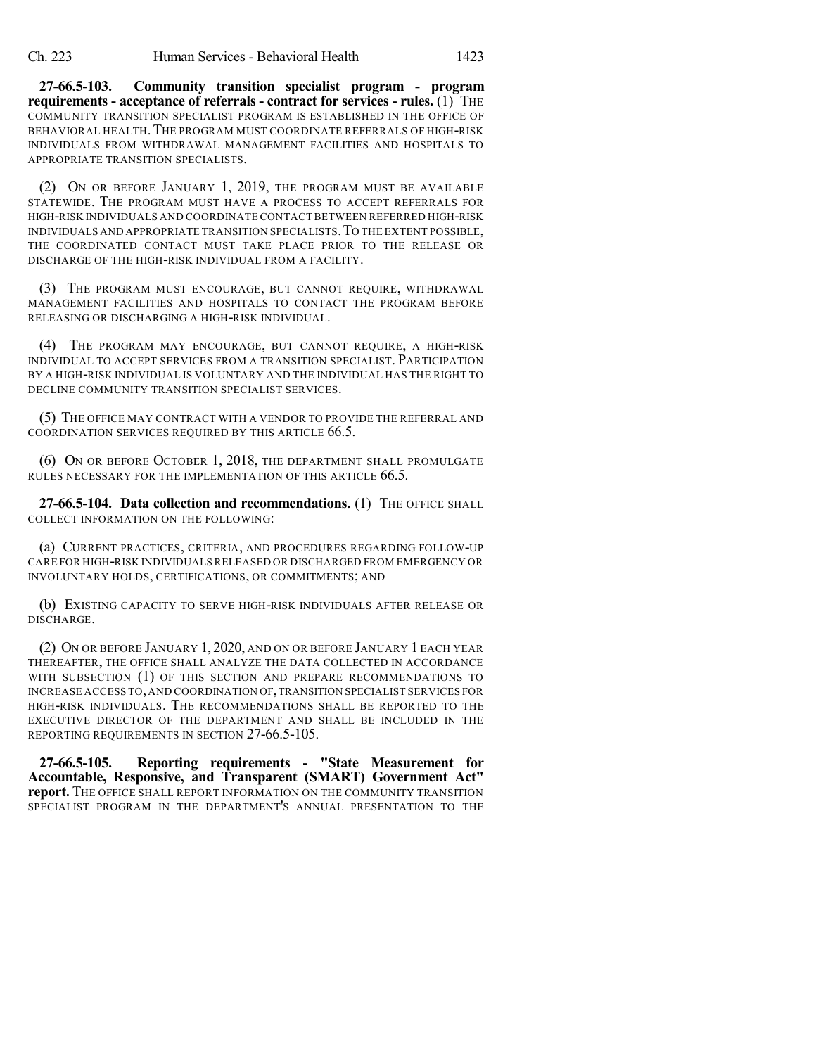**27-66.5-103. Community transition specialist program - program requirements - acceptance of referrals - contract for services - rules.** (1) THE COMMUNITY TRANSITION SPECIALIST PROGRAM IS ESTABLISHED IN THE OFFICE OF BEHAVIORAL HEALTH. THE PROGRAM MUST COORDINATE REFERRALS OF HIGH-RISK INDIVIDUALS FROM WITHDRAWAL MANAGEMENT FACILITIES AND HOSPITALS TO APPROPRIATE TRANSITION SPECIALISTS.

(2) ON OR BEFORE JANUARY 1, 2019, THE PROGRAM MUST BE AVAILABLE STATEWIDE. THE PROGRAM MUST HAVE A PROCESS TO ACCEPT REFERRALS FOR HIGH-RISK INDIVIDUALS AND COORDINATE CONTACTBETWEEN REFERRED HIGH-RISK INDIVIDUALS AND APPROPRIATE TRANSITION SPECIALISTS.TO THE EXTENT POSSIBLE, THE COORDINATED CONTACT MUST TAKE PLACE PRIOR TO THE RELEASE OR DISCHARGE OF THE HIGH-RISK INDIVIDUAL FROM A FACILITY.

(3) THE PROGRAM MUST ENCOURAGE, BUT CANNOT REQUIRE, WITHDRAWAL MANAGEMENT FACILITIES AND HOSPITALS TO CONTACT THE PROGRAM BEFORE RELEASING OR DISCHARGING A HIGH-RISK INDIVIDUAL.

(4) THE PROGRAM MAY ENCOURAGE, BUT CANNOT REQUIRE, A HIGH-RISK INDIVIDUAL TO ACCEPT SERVICES FROM A TRANSITION SPECIALIST. PARTICIPATION BY A HIGH-RISK INDIVIDUAL IS VOLUNTARY AND THE INDIVIDUAL HAS THE RIGHT TO DECLINE COMMUNITY TRANSITION SPECIALIST SERVICES.

(5) THE OFFICE MAY CONTRACT WITH A VENDOR TO PROVIDE THE REFERRAL AND COORDINATION SERVICES REQUIRED BY THIS ARTICLE 66.5.

(6) ON OR BEFORE OCTOBER 1, 2018, THE DEPARTMENT SHALL PROMULGATE RULES NECESSARY FOR THE IMPLEMENTATION OF THIS ARTICLE 66.5.

**27-66.5-104. Data collection and recommendations.** (1) THE OFFICE SHALL COLLECT INFORMATION ON THE FOLLOWING:

(a) CURRENT PRACTICES, CRITERIA, AND PROCEDURES REGARDING FOLLOW-UP CARE FOR HIGH-RISK INDIVIDUALS RELEASED OR DISCHARGED FROM EMERGENCY OR INVOLUNTARY HOLDS, CERTIFICATIONS, OR COMMITMENTS; AND

(b) EXISTING CAPACITY TO SERVE HIGH-RISK INDIVIDUALS AFTER RELEASE OR DISCHARGE.

(2) ON OR BEFORE JANUARY 1, 2020, AND ON OR BEFORE JANUARY 1 EACH YEAR THEREAFTER, THE OFFICE SHALL ANALYZE THE DATA COLLECTED IN ACCORDANCE WITH SUBSECTION (1) OF THIS SECTION AND PREPARE RECOMMENDATIONS TO INCREASE ACCESS TO,AND COORDINATION OF,TRANSITION SPECIALIST SERVICES FOR HIGH-RISK INDIVIDUALS. THE RECOMMENDATIONS SHALL BE REPORTED TO THE EXECUTIVE DIRECTOR OF THE DEPARTMENT AND SHALL BE INCLUDED IN THE REPORTING REQUIREMENTS IN SECTION 27-66.5-105.

**27-66.5-105. Reporting requirements - "State Measurement for Accountable, Responsive, and Transparent (SMART) Government Act" report.** THE OFFICE SHALL REPORT INFORMATION ON THE COMMUNITY TRANSITION SPECIALIST PROGRAM IN THE DEPARTMENT'S ANNUAL PRESENTATION TO THE